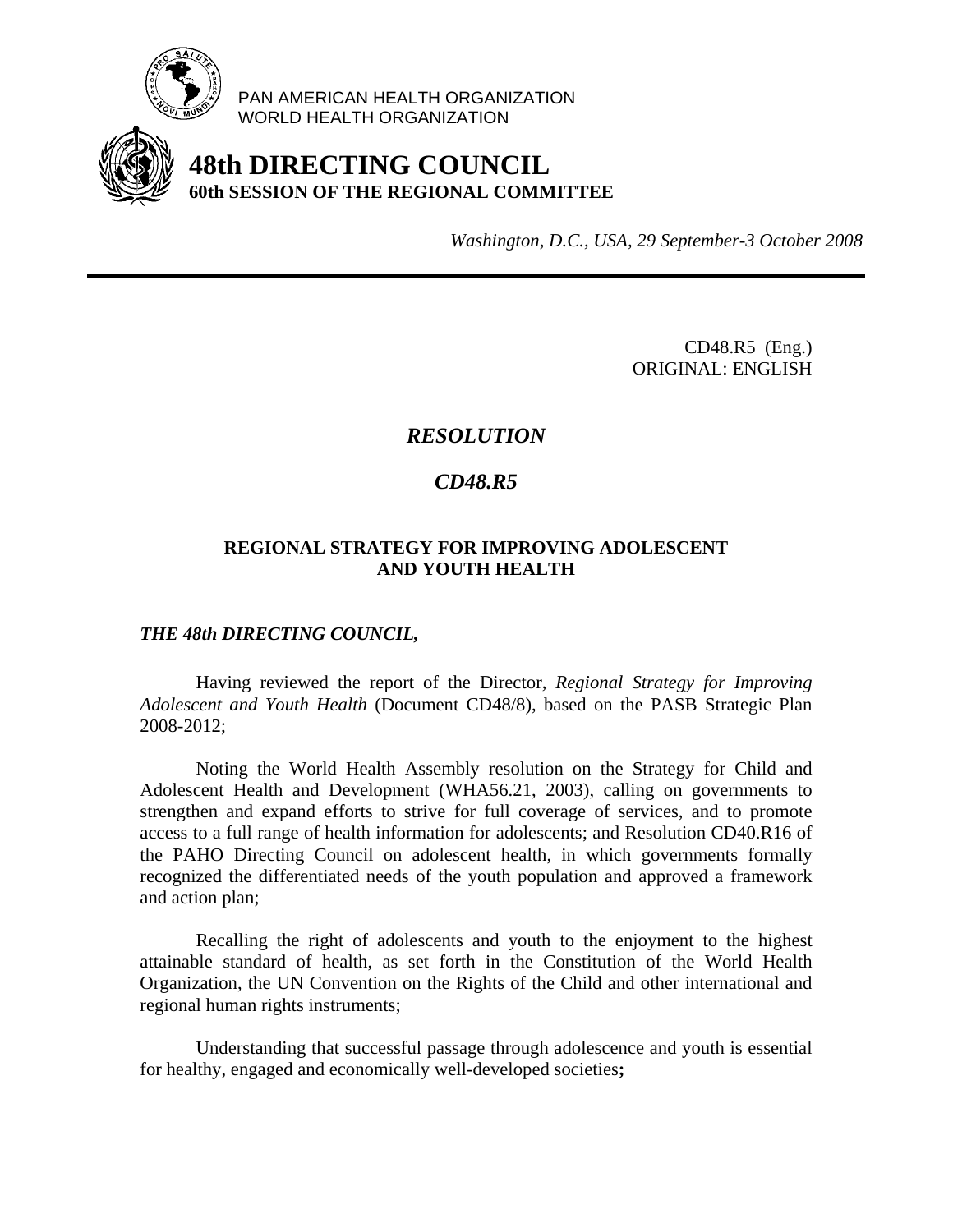

PAN AMERICAN HEALTH ORGANIZATION WORLD HEALTH ORGANIZATION

# **48th DIRECTING COUNCIL 60th SESSION OF THE REGIONAL COMMITTEE**

*Washington, D.C., USA, 29 September-3 October 2008*

CD48.R5 (Eng.) ORIGINAL: ENGLISH

## *RESOLUTION*

## *CD48.R5*

#### **REGIONAL STRATEGY FOR IMPROVING ADOLESCENT AND YOUTH HEALTH**

### *THE 48th DIRECTING COUNCIL,*

Having reviewed the report of the Director, *Regional Strategy for Improving Adolescent and Youth Health* (Document CD48/8), based on the PASB Strategic Plan 2008-2012;

 Noting the World Health Assembly resolution on the Strategy for Child and Adolescent Health and Development (WHA56.21, 2003), calling on governments to strengthen and expand efforts to strive for full coverage of services, and to promote access to a full range of health information for adolescents; and Resolution CD40.R16 of the PAHO Directing Council on adolescent health, in which governments formally recognized the differentiated needs of the youth population and approved a framework and action plan;

Recalling the right of adolescents and youth to the enjoyment to the highest attainable standard of health, as set forth in the Constitution of the World Health Organization, the UN Convention on the Rights of the Child and other international and regional human rights instruments;

Understanding that successful passage through adolescence and youth is essential for healthy, engaged and economically well-developed societies**;**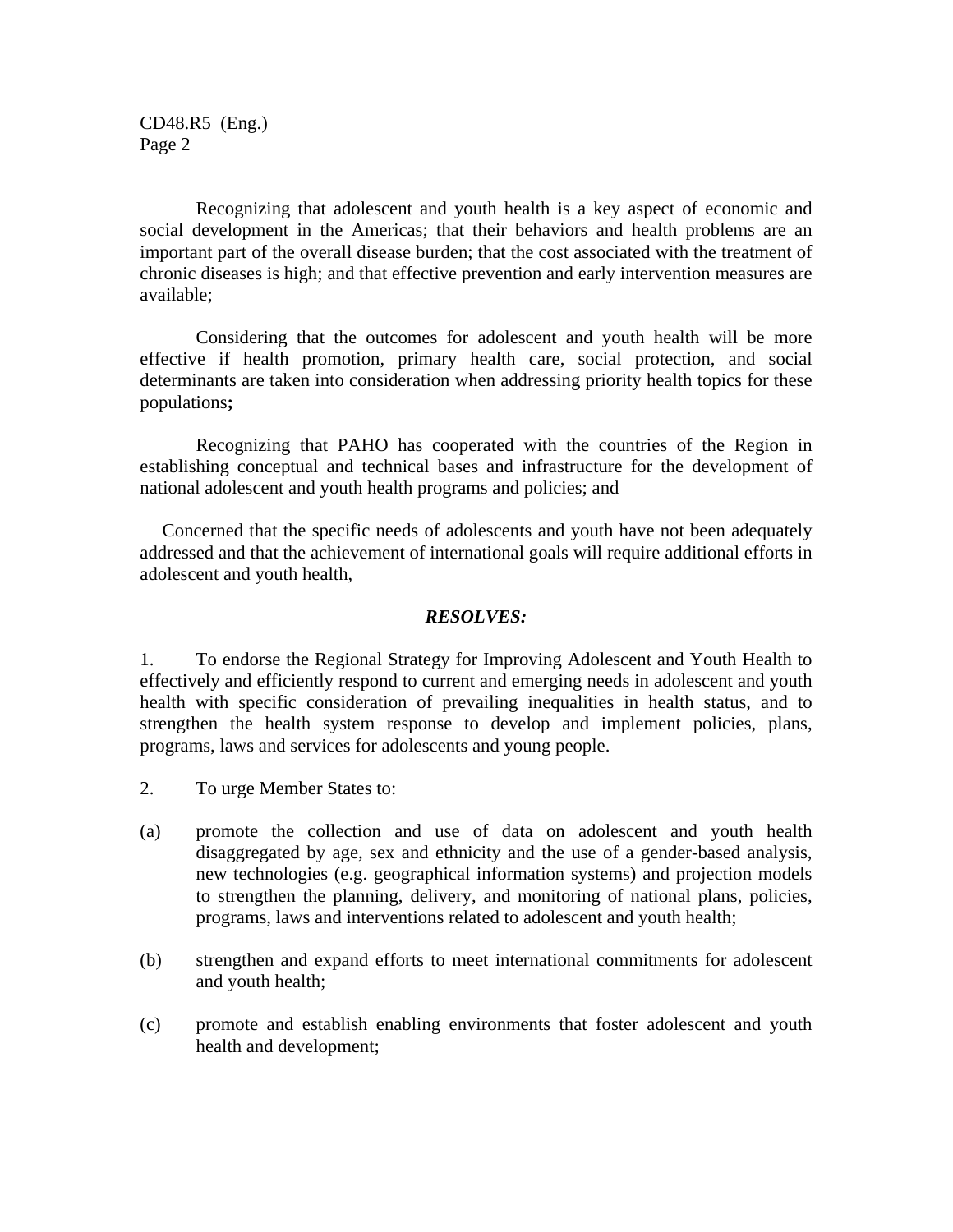CD48.R5 (Eng.) Page 2

 Recognizing that adolescent and youth health is a key aspect of economic and social development in the Americas; that their behaviors and health problems are an important part of the overall disease burden; that the cost associated with the treatment of chronic diseases is high; and that effective prevention and early intervention measures are available;

Considering that the outcomes for adolescent and youth health will be more effective if health promotion, primary health care, social protection, and social determinants are taken into consideration when addressing priority health topics for these populations**;** 

Recognizing that PAHO has cooperated with the countries of the Region in establishing conceptual and technical bases and infrastructure for the development of national adolescent and youth health programs and policies; and

 Concerned that the specific needs of adolescents and youth have not been adequately addressed and that the achievement of international goals will require additional efforts in adolescent and youth health,

#### *RESOLVES:*

1. To endorse the Regional Strategy for Improving Adolescent and Youth Health to effectively and efficiently respond to current and emerging needs in adolescent and youth health with specific consideration of prevailing inequalities in health status, and to strengthen the health system response to develop and implement policies, plans, programs, laws and services for adolescents and young people.

- 2. To urge Member States to:
- (a) promote the collection and use of data on adolescent and youth health disaggregated by age, sex and ethnicity and the use of a gender-based analysis, new technologies (e.g. geographical information systems) and projection models to strengthen the planning, delivery, and monitoring of national plans, policies, programs, laws and interventions related to adolescent and youth health;
- (b) strengthen and expand efforts to meet international commitments for adolescent and youth health;
- (c) promote and establish enabling environments that foster adolescent and youth health and development;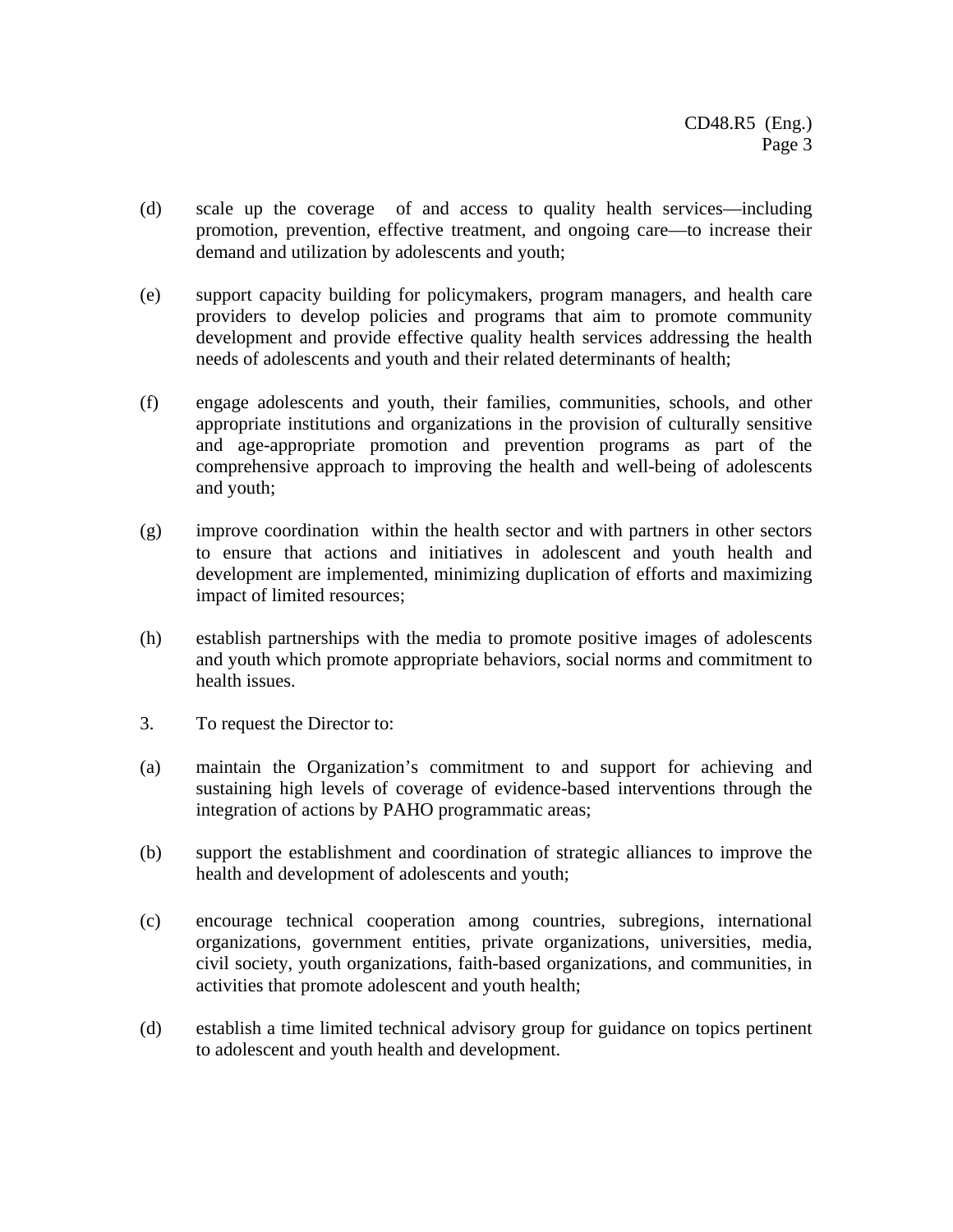- (d) scale up the coverage of and access to quality health services—including promotion, prevention, effective treatment, and ongoing care—to increase their demand and utilization by adolescents and youth;
- (e) support capacity building for policymakers, program managers, and health care providers to develop policies and programs that aim to promote community development and provide effective quality health services addressing the health needs of adolescents and youth and their related determinants of health;
- (f) engage adolescents and youth, their families, communities, schools, and other appropriate institutions and organizations in the provision of culturally sensitive and age-appropriate promotion and prevention programs as part of the comprehensive approach to improving the health and well-being of adolescents and youth;
- (g) improve coordination within the health sector and with partners in other sectors to ensure that actions and initiatives in adolescent and youth health and development are implemented, minimizing duplication of efforts and maximizing impact of limited resources;
- (h) establish partnerships with the media to promote positive images of adolescents and youth which promote appropriate behaviors, social norms and commitment to health issues.
- 3. To request the Director to:
- (a) maintain the Organization's commitment to and support for achieving and sustaining high levels of coverage of evidence-based interventions through the integration of actions by PAHO programmatic areas;
- (b) support the establishment and coordination of strategic alliances to improve the health and development of adolescents and youth;
- (c) encourage technical cooperation among countries, subregions, international organizations, government entities, private organizations, universities, media, civil society, youth organizations, faith-based organizations, and communities, in activities that promote adolescent and youth health;
- (d) establish a time limited technical advisory group for guidance on topics pertinent to adolescent and youth health and development.